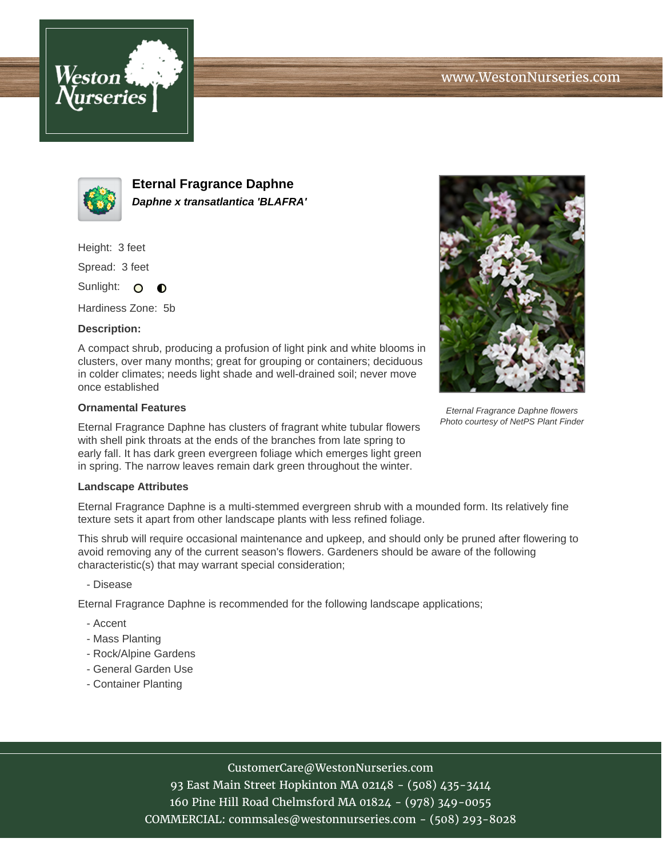



**Eternal Fragrance Daphne Daphne x transatlantica 'BLAFRA'**

Height: 3 feet

Spread: 3 feet

Sunlight: O  $\bullet$ 

Hardiness Zone: 5b

### **Description:**

A compact shrub, producing a profusion of light pink and white blooms in clusters, over many months; great for grouping or containers; deciduous in colder climates; needs light shade and well-drained soil; never move once established

#### **Ornamental Features**

Eternal Fragrance Daphne has clusters of fragrant white tubular flowers with shell pink throats at the ends of the branches from late spring to early fall. It has dark green evergreen foliage which emerges light green in spring. The narrow leaves remain dark green throughout the winter.

#### **Landscape Attributes**

Eternal Fragrance Daphne is a multi-stemmed evergreen shrub with a mounded form. Its relatively fine texture sets it apart from other landscape plants with less refined foliage.

This shrub will require occasional maintenance and upkeep, and should only be pruned after flowering to avoid removing any of the current season's flowers. Gardeners should be aware of the following characteristic(s) that may warrant special consideration;

- Disease

Eternal Fragrance Daphne is recommended for the following landscape applications;

- Accent
- Mass Planting
- Rock/Alpine Gardens
- General Garden Use
- Container Planting

# CustomerCare@WestonNurseries.com

93 East Main Street Hopkinton MA 02148 - (508) 435-3414 160 Pine Hill Road Chelmsford MA 01824 - (978) 349-0055 COMMERCIAL: commsales@westonnurseries.com - (508) 293-8028



Eternal Fragrance Daphne flowers Photo courtesy of NetPS Plant Finder